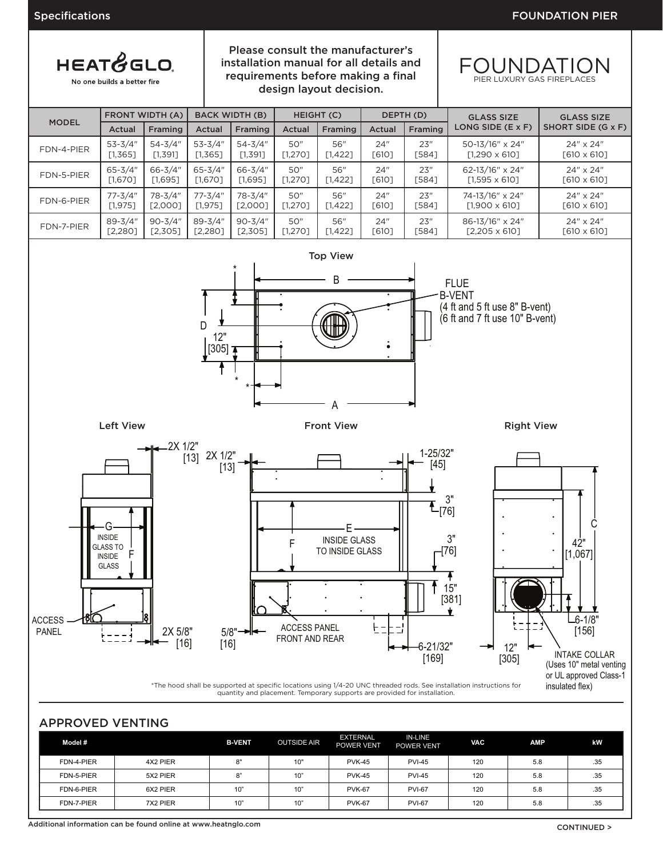Specifications

## FOUNDATION PIER



Please consult the manufacturer's installation manual for all details and requirements before making a final design layout decision.

FOUNDATION PIER LUXURY GAS FIREPLACES

|              | <b>FRONT WIDTH (A)</b> |             | <b>BACK WIDTH (B)</b> |             | HEIGHT (C) |         | DEPTH (D) |         | <b>GLASS SIZE</b>        | <b>GLASS SIZE</b>  |  |
|--------------|------------------------|-------------|-----------------------|-------------|------------|---------|-----------|---------|--------------------------|--------------------|--|
| <b>MODEL</b> | Actual                 | Framing     | Actual                | Framing     | Actual     | Framing | Actual    | Framing | LONG SIDE $(E \times F)$ | SHORT SIDE (G x F) |  |
| FDN-4-PIER   | $53 - 3/4"$            | $54 - 3/4"$ | $53 - 3/4"$           | $54 - 3/4"$ | 50"        | 56"     | 24"       | 23"     | 50-13/16" x 24"          | 24" x 24"          |  |
|              | [1,365]                | $[1,391]$   | [1,365]               | $[1,391]$   | $[1,270]$  | [1,422] | [610]     | [584]   | $[1,290 \times 610]$     | [610 x 610]        |  |
| FDN-5-PIER   | $65 - 3/4"$            | $66 - 3/4"$ | $65 - 3/4"$           | $66 - 3/4"$ | 50"        | 56'     | 24"       | 23"     | 62-13/16" x 24"          | 24" x 24"          |  |
|              | [1,670]                | 7,695       | [1,670]               | [1,695]     | [1,270]    | [1,422] | [610]     | [584]   | $[1,595 \times 610]$     | [610 x 610]        |  |
| FDN-6-PIER   | $77 - 3/4"$            | 78-3/4"     | $77 - 3/4"$           | 78-3/4"     | 50"        | 56"     | 24"       | 23"     | 74-13/16" x 24"          | 24" x 24"          |  |
|              | [1, 975]               | [2,000]     | [1,975]               | [2,000]     | [1,270]    | [1,422] | [610]     | [584]   | $[1,900 \times 610]$     | [610 x 610]        |  |
| FDN-7-PIER   | $89 - 3/4"$            | $90 - 3/4"$ | $89 - 3/4"$           | $90 - 3/4"$ | 50"        | 56"     | 24"       | 23"     | 86-13/16" x 24"          | 24" x 24"          |  |
|              | [2,280]                | [2,305]     | [2,280]               | [2,305]     | [1,270]    | [1,422] | F6101     | [584]   | [2,205 x 610]            | [610 x 610]        |  |





Left View **Front View Right View Right View** Right View

D



quantity and placement. Temporary supports are provided for installation.

## APPROVED VENTING

| Model #    |          | <b>B-VENT</b> | <b>OUTSIDE AIR</b> | <b>EXTERNAL</b><br>POWER VENT | <b>IN-LINE</b><br>POWER VENT | <b>VAC</b> | <b>AMP</b> | kW  |
|------------|----------|---------------|--------------------|-------------------------------|------------------------------|------------|------------|-----|
| FDN-4-PIER | 4X2 PIER | 8"            | 10"                | <b>PVK-45</b>                 | <b>PVI-45</b>                | 120        | 5.8        | .35 |
| FDN-5-PIER | 5X2 PIER | $\Omega$      | 10"                | <b>PVK-45</b>                 | <b>PVI-45</b>                | 120        | 5.8        | .35 |
| FDN-6-PIER | 6X2 PIER | 10"           | 10"                | <b>PVK-67</b>                 | <b>PVI-67</b>                | 120        | 5.8        | .35 |
| FDN-7-PIER | 7X2 PIER | 10"           | 10"                | <b>PVK-67</b>                 | <b>PVI-67</b>                | 120        | 5.8        | .35 |

Additional information can be found online at www.heatnglo.com

C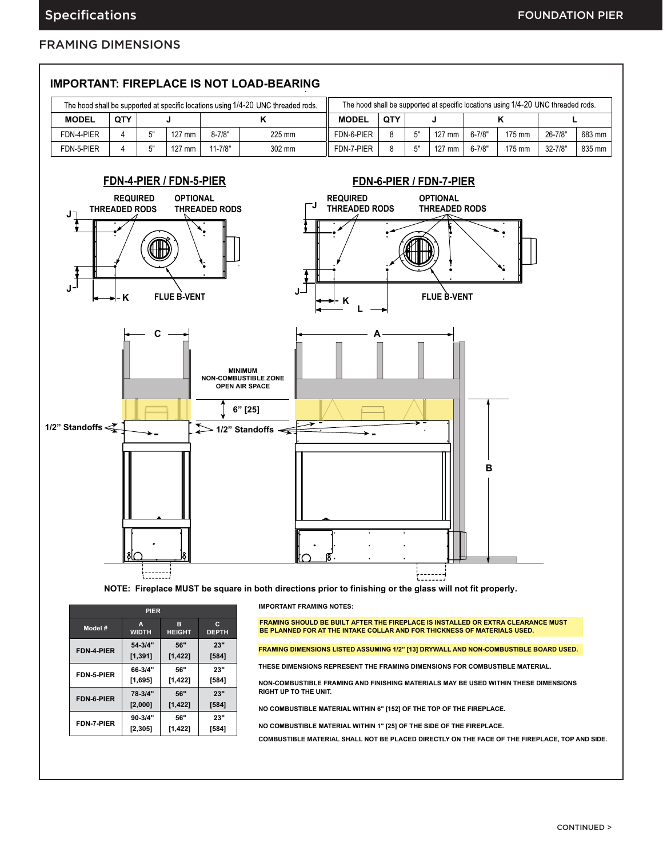## FRAMING DIMENSIONS